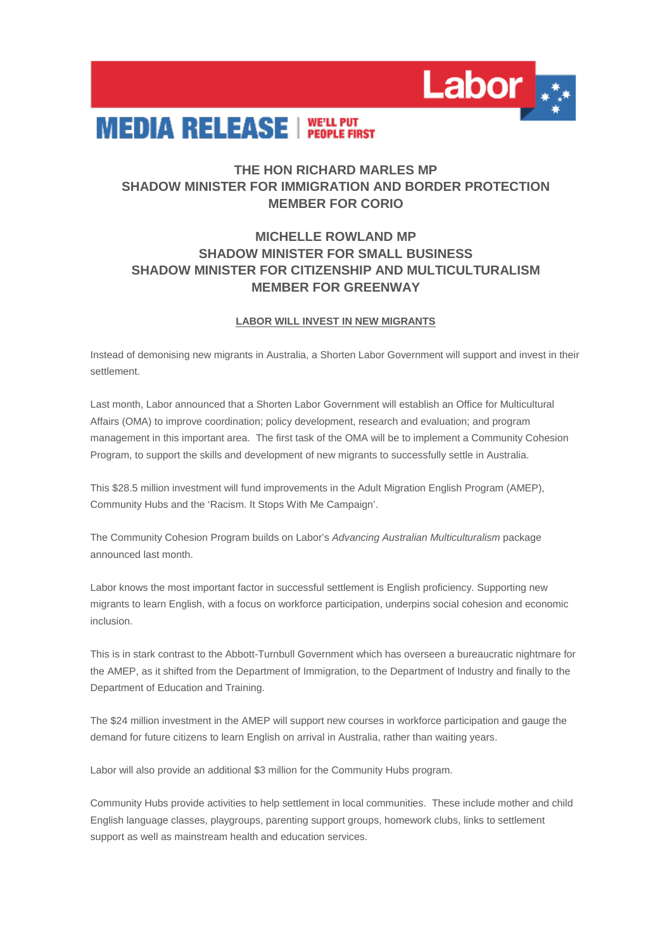

## **MEDIA RELEASE | WELL PUT**

## **THE HON RICHARD MARLES MP SHADOW MINISTER FOR IMMIGRATION AND BORDER PROTECTION MEMBER FOR CORIO**

## **MICHELLE ROWLAND MP SHADOW MINISTER FOR SMALL BUSINESS SHADOW MINISTER FOR CITIZENSHIP AND MULTICULTURALISM MEMBER FOR GREENWAY**

## **LABOR WILL INVEST IN NEW MIGRANTS**

Instead of demonising new migrants in Australia, a Shorten Labor Government will support and invest in their settlement.

Last month, Labor announced that a Shorten Labor Government will establish an Office for Multicultural Affairs (OMA) to improve coordination; policy development, research and evaluation; and program management in this important area. The first task of the OMA will be to implement a Community Cohesion Program, to support the skills and development of new migrants to successfully settle in Australia.

This \$28.5 million investment will fund improvements in the Adult Migration English Program (AMEP), Community Hubs and the 'Racism. It Stops With Me Campaign'.

The Community Cohesion Program builds on Labor's *Advancing Australian Multiculturalism* package announced last month.

Labor knows the most important factor in successful settlement is English proficiency. Supporting new migrants to learn English, with a focus on workforce participation, underpins social cohesion and economic inclusion.

This is in stark contrast to the Abbott-Turnbull Government which has overseen a bureaucratic nightmare for the AMEP, as it shifted from the Department of Immigration, to the Department of Industry and finally to the Department of Education and Training.

The \$24 million investment in the AMEP will support new courses in workforce participation and gauge the demand for future citizens to learn English on arrival in Australia, rather than waiting years.

Labor will also provide an additional \$3 million for the Community Hubs program.

Community Hubs provide activities to help settlement in local communities. These include mother and child English language classes, playgroups, parenting support groups, homework clubs, links to settlement support as well as mainstream health and education services.